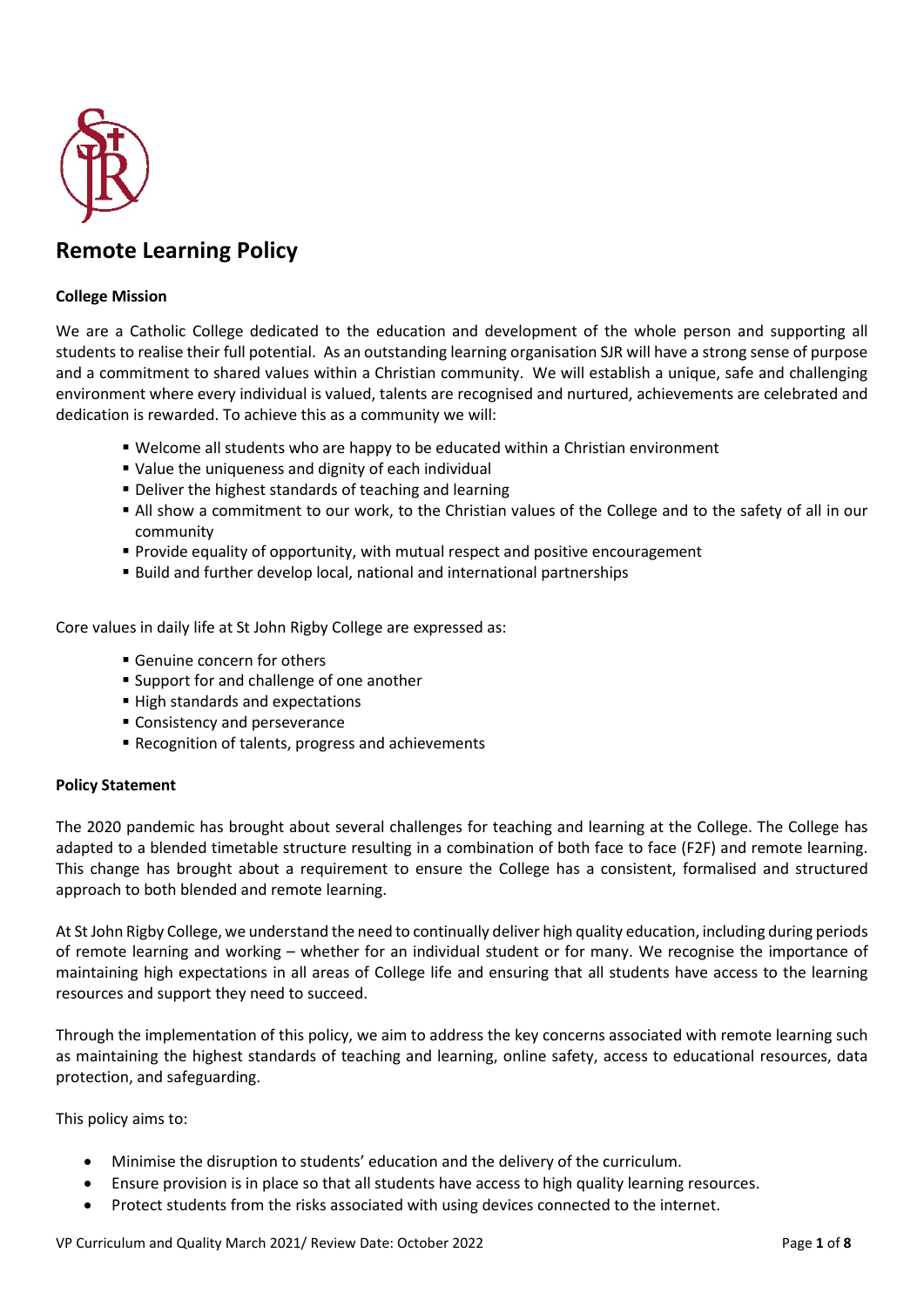

# **Remote Learning Policy**

## **College Mission**

We are a Catholic College dedicated to the education and development of the whole person and supporting all students to realise their full potential. As an outstanding learning organisation SJR will have a strong sense of purpose and a commitment to shared values within a Christian community. We will establish a unique, safe and challenging environment where every individual is valued, talents are recognised and nurtured, achievements are celebrated and dedication is rewarded. To achieve this as a community we will:

- Welcome all students who are happy to be educated within a Christian environment
- Value the uniqueness and dignity of each individual
- Deliver the highest standards of teaching and learning
- All show a commitment to our work, to the Christian values of the College and to the safety of all in our community
- **Provide equality of opportunity, with mutual respect and positive encouragement**
- Build and further develop local, national and international partnerships

Core values in daily life at St John Rigby College are expressed as:

- Genuine concern for others
- **Support for and challenge of one another**
- High standards and expectations
- **Consistency and perseverance**
- Recognition of talents, progress and achievements

#### **Policy Statement**

The 2020 pandemic has brought about several challenges for teaching and learning at the College. The College has adapted to a blended timetable structure resulting in a combination of both face to face (F2F) and remote learning. This change has brought about a requirement to ensure the College has a consistent, formalised and structured approach to both blended and remote learning.

At St John Rigby College, we understand the need to continually deliver high quality education, including during periods of remote learning and working – whether for an individual student or for many. We recognise the importance of maintaining high expectations in all areas of College life and ensuring that all students have access to the learning resources and support they need to succeed.

Through the implementation of this policy, we aim to address the key concerns associated with remote learning such as maintaining the highest standards of teaching and learning, online safety, access to educational resources, data protection, and safeguarding.

This policy aims to:

- Minimise the disruption to students' education and the delivery of the curriculum.
- Ensure provision is in place so that all students have access to high quality learning resources.
- Protect students from the risks associated with using devices connected to the internet.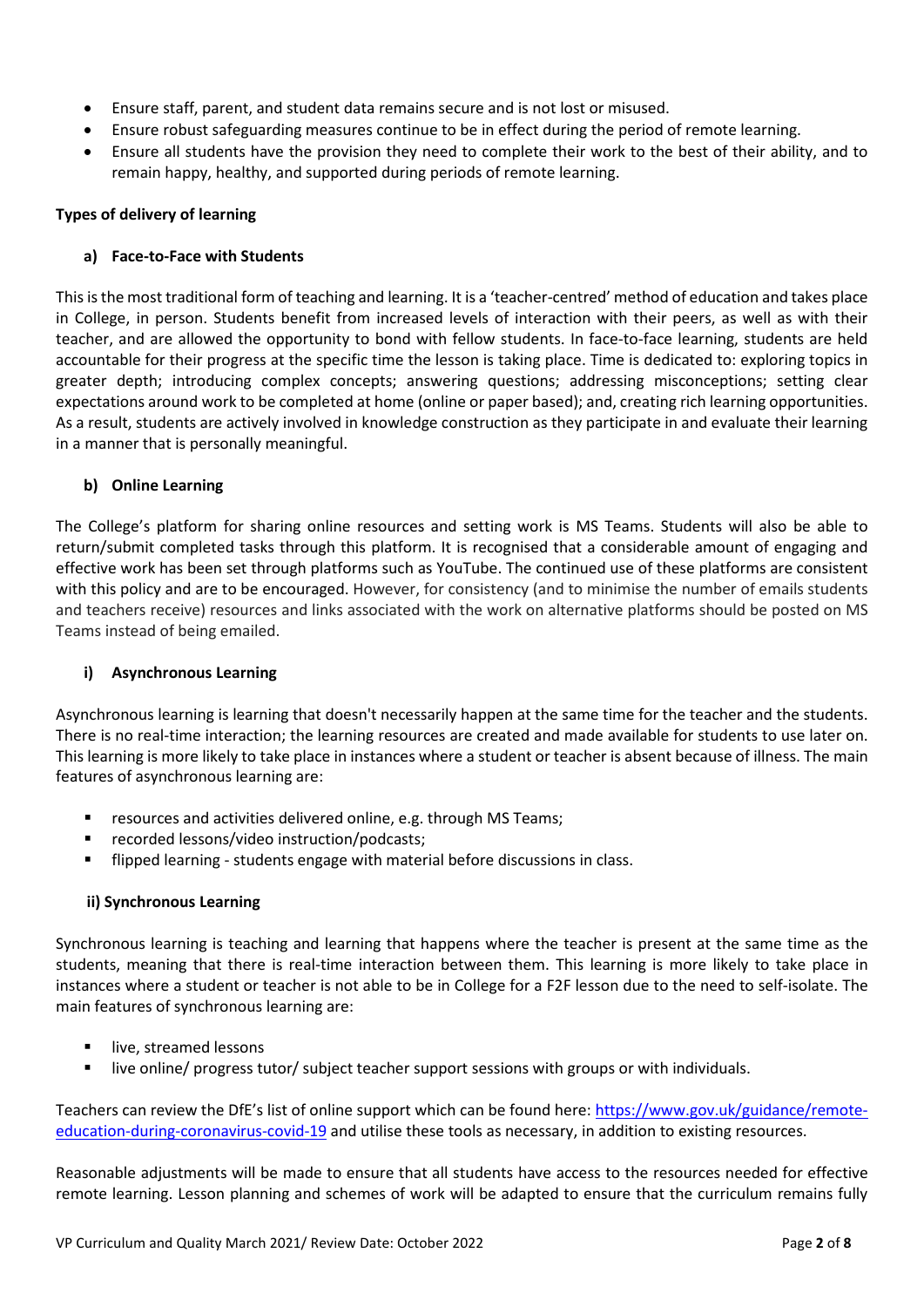- Ensure staff, parent, and student data remains secure and is not lost or misused.
- Ensure robust safeguarding measures continue to be in effect during the period of remote learning.
- Ensure all students have the provision they need to complete their work to the best of their ability, and to remain happy, healthy, and supported during periods of remote learning.

# **Types of delivery of learning**

# **a) Face-to-Face with Students**

This is the most traditional form of teaching and learning. It is a 'teacher-centred' method of education and takes place in College, in person. Students benefit from increased levels of interaction with their peers, as well as with their teacher, and are allowed the opportunity to bond with fellow students. In face-to-face learning, students are held accountable for their progress at the specific time the lesson is taking place. Time is dedicated to: exploring topics in greater depth; introducing complex concepts; answering questions; addressing misconceptions; setting clear expectations around work to be completed at home (online or paper based); and, creating rich learning opportunities. As a result, students are actively involved in knowledge construction as they participate in and evaluate their learning in a manner that is personally meaningful.

# **b) Online Learning**

The College's platform for sharing online resources and setting work is MS Teams. Students will also be able to return/submit completed tasks through this platform. It is recognised that a considerable amount of engaging and effective work has been set through platforms such as YouTube. The continued use of these platforms are consistent with this policy and are to be encouraged. However, for consistency (and to minimise the number of emails students and teachers receive) resources and links associated with the work on alternative platforms should be posted on MS Teams instead of being emailed.

#### **i) Asynchronous Learning**

Asynchronous learning is learning that doesn't necessarily happen at the same time for the teacher and the students. There is no real-time interaction; the learning resources are created and made available for students to use later on. This learning is more likely to take place in instances where a student or teacher is absent because of illness. The main features of asynchronous learning are:

- resources and activities delivered online, e.g. through MS Teams;
- recorded lessons/video instruction/podcasts;
- flipped learning students engage with material before discussions in class.

#### **ii) Synchronous Learning**

Synchronous learning is teaching and learning that happens where the teacher is present at the same time as the students, meaning that there is real-time interaction between them. This learning is more likely to take place in instances where a student or teacher is not able to be in College for a F2F lesson due to the need to self-isolate. The main features of synchronous learning are:

- live, streamed lessons
- live online/ progress tutor/ subject teacher support sessions with groups or with individuals.

Teachers can review the DfE's list of online support which can be found here[: https://www.gov.uk/guidance/remote](https://www.gov.uk/guidance/remote-education-during-coronavirus-covid-19)[education-during-coronavirus-covid-19](https://www.gov.uk/guidance/remote-education-during-coronavirus-covid-19) and utilise these tools as necessary, in addition to existing resources.

Reasonable adjustments will be made to ensure that all students have access to the resources needed for effective remote learning. Lesson planning and schemes of work will be adapted to ensure that the curriculum remains fully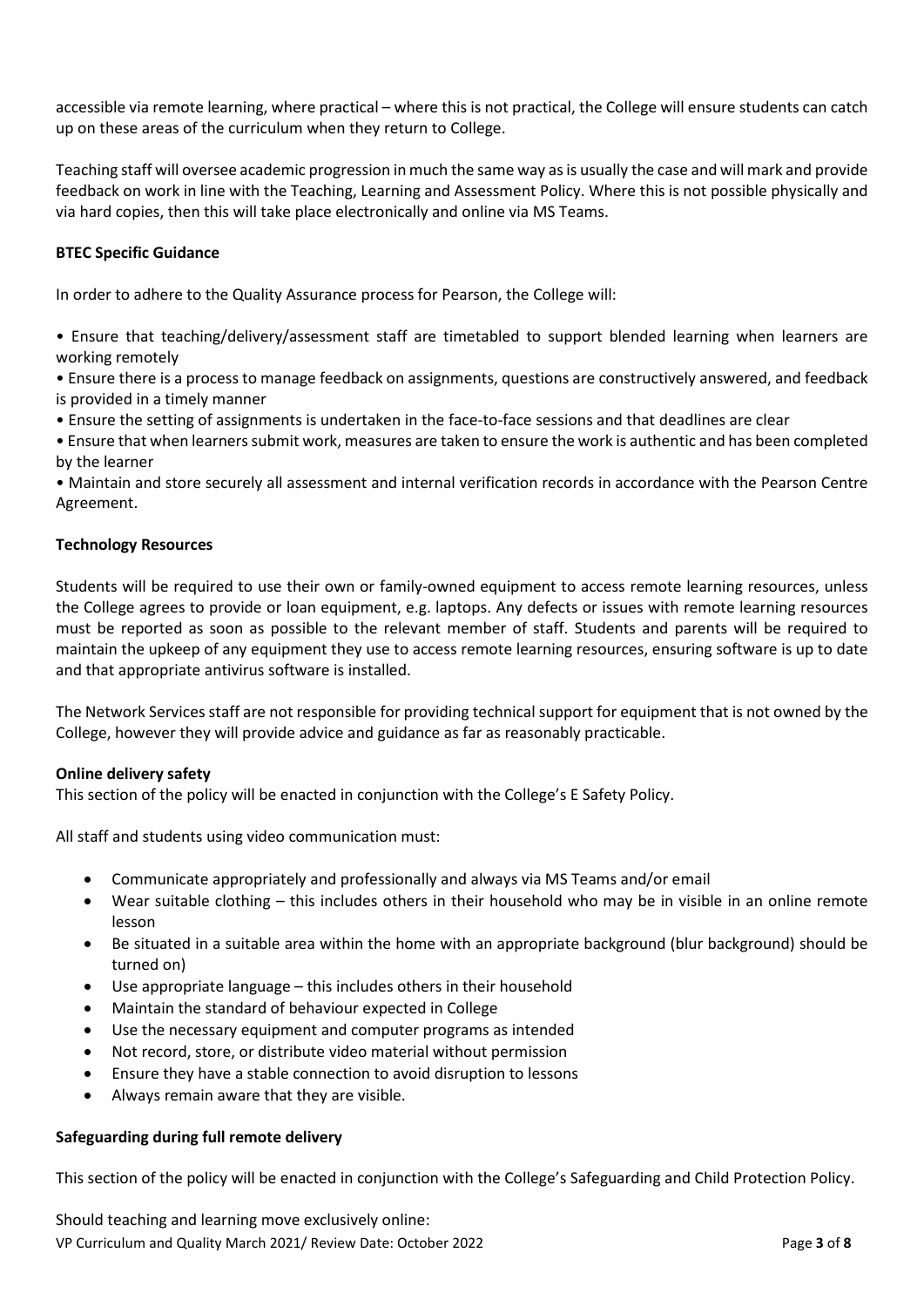accessible via remote learning, where practical – where this is not practical, the College will ensure students can catch up on these areas of the curriculum when they return to College.

Teaching staff will oversee academic progression in much the same way as is usually the case and will mark and provide feedback on work in line with the Teaching, Learning and Assessment Policy. Where this is not possible physically and via hard copies, then this will take place electronically and online via MS Teams.

# **BTEC Specific Guidance**

In order to adhere to the Quality Assurance process for Pearson, the College will:

• Ensure that teaching/delivery/assessment staff are timetabled to support blended learning when learners are working remotely

• Ensure there is a process to manage feedback on assignments, questions are constructively answered, and feedback is provided in a timely manner

• Ensure the setting of assignments is undertaken in the face-to-face sessions and that deadlines are clear

• Ensure that when learners submit work, measures are taken to ensure the work is authentic and has been completed by the learner

• Maintain and store securely all assessment and internal verification records in accordance with the Pearson Centre Agreement.

#### **Technology Resources**

Students will be required to use their own or family-owned equipment to access remote learning resources, unless the College agrees to provide or loan equipment, e.g. laptops. Any defects or issues with remote learning resources must be reported as soon as possible to the relevant member of staff. Students and parents will be required to maintain the upkeep of any equipment they use to access remote learning resources, ensuring software is up to date and that appropriate antivirus software is installed.

The Network Services staff are not responsible for providing technical support for equipment that is not owned by the College, however they will provide advice and guidance as far as reasonably practicable.

#### **Online delivery safety**

This section of the policy will be enacted in conjunction with the College's E Safety Policy.

All staff and students using video communication must:

- Communicate appropriately and professionally and always via MS Teams and/or email
- Wear suitable clothing this includes others in their household who may be in visible in an online remote lesson
- Be situated in a suitable area within the home with an appropriate background (blur background) should be turned on)
- Use appropriate language this includes others in their household
- Maintain the standard of behaviour expected in College
- Use the necessary equipment and computer programs as intended
- Not record, store, or distribute video material without permission
- Ensure they have a stable connection to avoid disruption to lessons
- Always remain aware that they are visible.

#### **Safeguarding during full remote delivery**

This section of the policy will be enacted in conjunction with the College's Safeguarding and Child Protection Policy.

VP Curriculum and Quality March 2021/ Review Date: October 2022 Page **3** of **8** Should teaching and learning move exclusively online: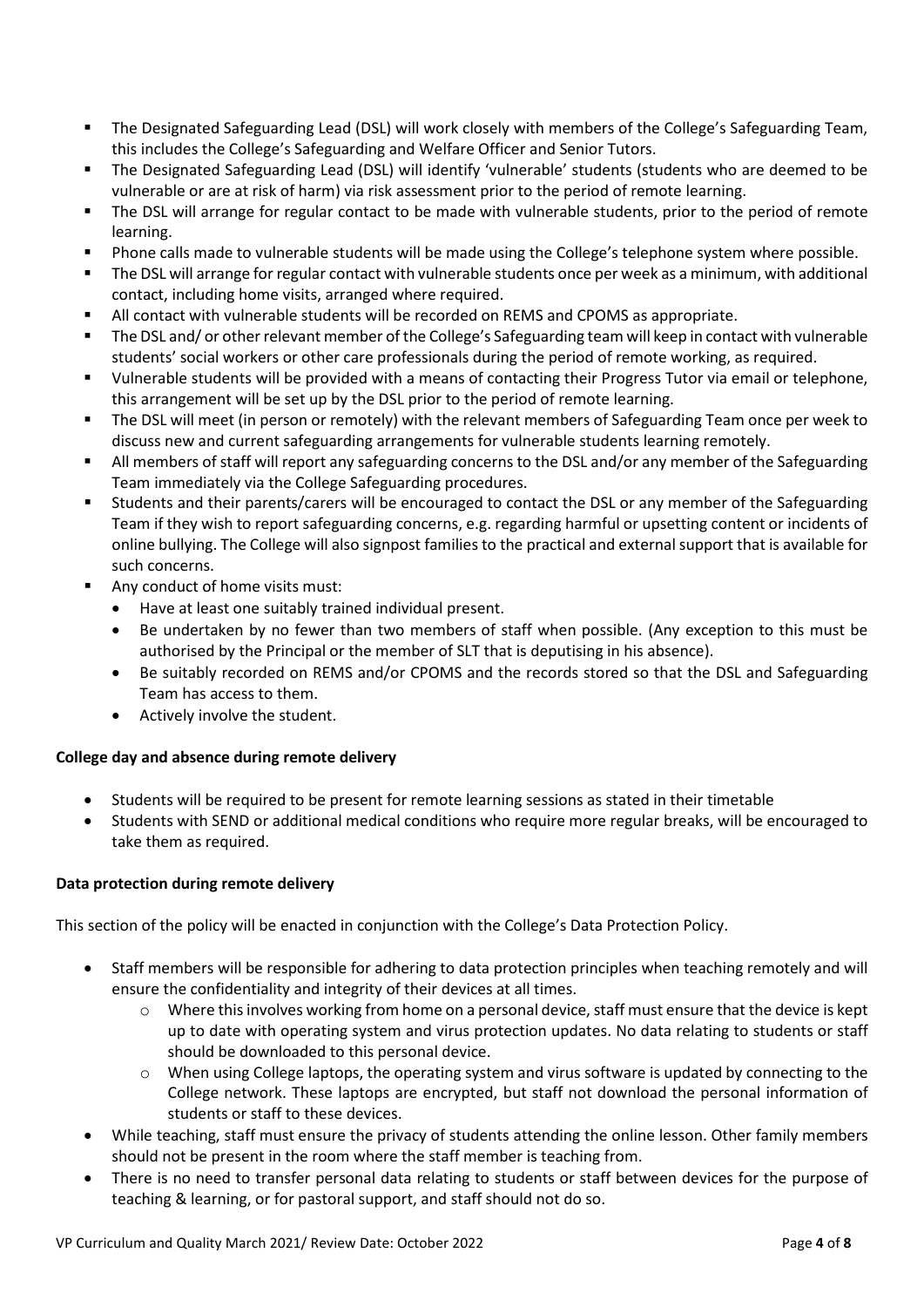- The Designated Safeguarding Lead (DSL) will work closely with members of the College's Safeguarding Team, this includes the College's Safeguarding and Welfare Officer and Senior Tutors.
- The Designated Safeguarding Lead (DSL) will identify 'vulnerable' students (students who are deemed to be vulnerable or are at risk of harm) via risk assessment prior to the period of remote learning.
- The DSL will arrange for regular contact to be made with vulnerable students, prior to the period of remote learning.
- Phone calls made to vulnerable students will be made using the College's telephone system where possible.
- The DSL will arrange for regular contact with vulnerable students once per week as a minimum, with additional contact, including home visits, arranged where required.
- All contact with vulnerable students will be recorded on REMS and CPOMS as appropriate.
- The DSL and/ or other relevant member of the College's Safeguarding team will keep in contact with vulnerable students' social workers or other care professionals during the period of remote working, as required.
- Vulnerable students will be provided with a means of contacting their Progress Tutor via email or telephone, this arrangement will be set up by the DSL prior to the period of remote learning.
- The DSL will meet (in person or remotely) with the relevant members of Safeguarding Team once per week to discuss new and current safeguarding arrangements for vulnerable students learning remotely.
- All members of staff will report any safeguarding concerns to the DSL and/or any member of the Safeguarding Team immediately via the College Safeguarding procedures.
- Students and their parents/carers will be encouraged to contact the DSL or any member of the Safeguarding Team if they wish to report safeguarding concerns, e.g. regarding harmful or upsetting content or incidents of online bullying. The College will also signpost families to the practical and external support that is available for such concerns.
- Any conduct of home visits must:
	- Have at least one suitably trained individual present.
	- Be undertaken by no fewer than two members of staff when possible. (Any exception to this must be authorised by the Principal or the member of SLT that is deputising in his absence).
	- Be suitably recorded on REMS and/or CPOMS and the records stored so that the DSL and Safeguarding Team has access to them.
	- Actively involve the student.

# **College day and absence during remote delivery**

- Students will be required to be present for remote learning sessions as stated in their timetable
- Students with SEND or additional medical conditions who require more regular breaks, will be encouraged to take them as required.

# **Data protection during remote delivery**

This section of the policy will be enacted in conjunction with the College's Data Protection Policy.

- Staff members will be responsible for adhering to data protection principles when teaching remotely and will ensure the confidentiality and integrity of their devices at all times.
	- o Where this involves working from home on a personal device, staff must ensure that the device is kept up to date with operating system and virus protection updates. No data relating to students or staff should be downloaded to this personal device.
	- $\circ$  When using College laptops, the operating system and virus software is updated by connecting to the College network. These laptops are encrypted, but staff not download the personal information of students or staff to these devices.
- While teaching, staff must ensure the privacy of students attending the online lesson. Other family members should not be present in the room where the staff member is teaching from.
- There is no need to transfer personal data relating to students or staff between devices for the purpose of teaching & learning, or for pastoral support, and staff should not do so.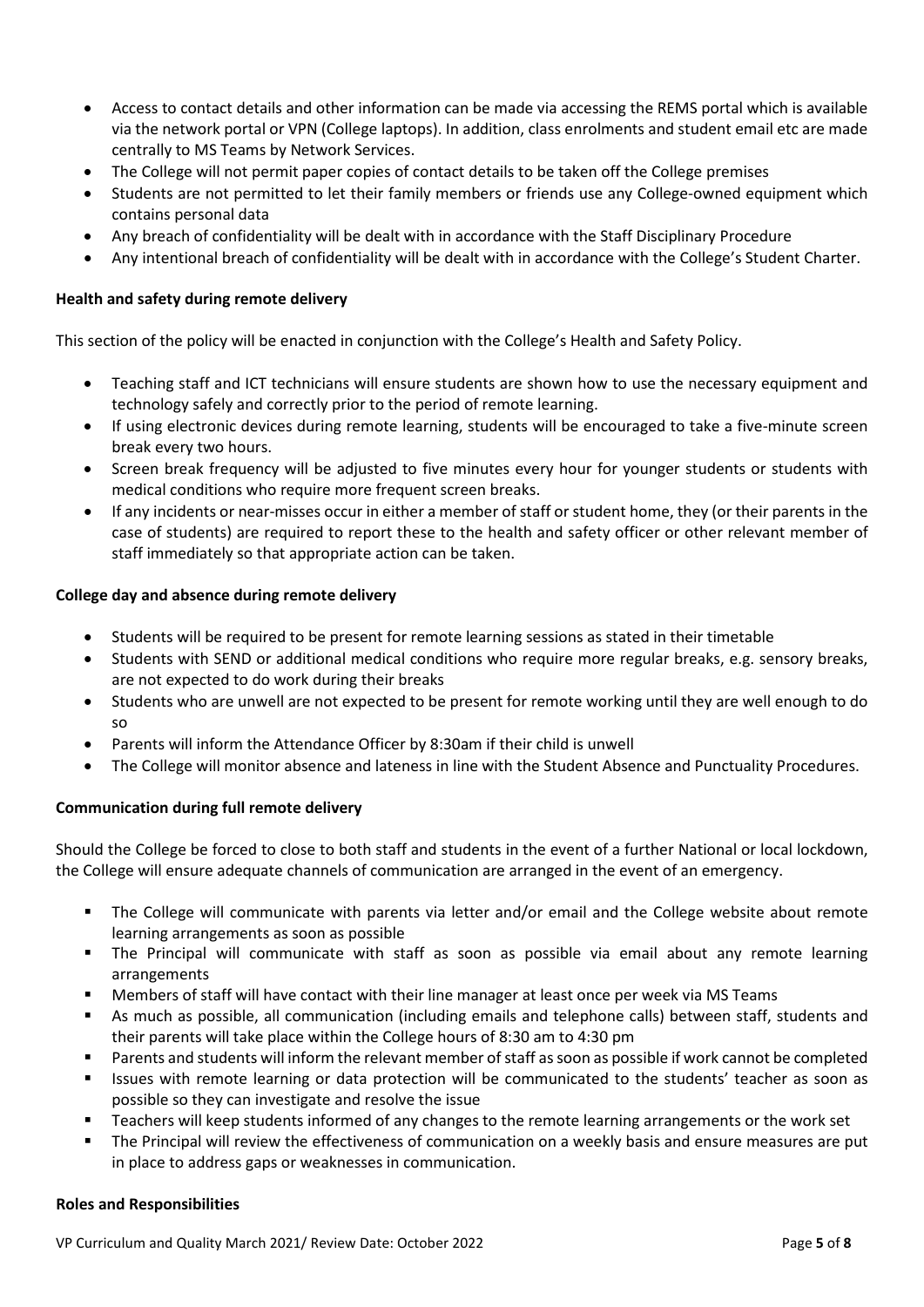- Access to contact details and other information can be made via accessing the REMS portal which is available via the network portal or VPN (College laptops). In addition, class enrolments and student email etc are made centrally to MS Teams by Network Services.
- The College will not permit paper copies of contact details to be taken off the College premises
- Students are not permitted to let their family members or friends use any College-owned equipment which contains personal data
- Any breach of confidentiality will be dealt with in accordance with the Staff Disciplinary Procedure
- Any intentional breach of confidentiality will be dealt with in accordance with the College's Student Charter.

#### **Health and safety during remote delivery**

This section of the policy will be enacted in conjunction with the College's Health and Safety Policy.

- Teaching staff and ICT technicians will ensure students are shown how to use the necessary equipment and technology safely and correctly prior to the period of remote learning.
- If using electronic devices during remote learning, students will be encouraged to take a five-minute screen break every two hours.
- Screen break frequency will be adjusted to five minutes every hour for younger students or students with medical conditions who require more frequent screen breaks.
- If any incidents or near-misses occur in either a member of staff or student home, they (or their parents in the case of students) are required to report these to the health and safety officer or other relevant member of staff immediately so that appropriate action can be taken.

#### **College day and absence during remote delivery**

- Students will be required to be present for remote learning sessions as stated in their timetable
- Students with SEND or additional medical conditions who require more regular breaks, e.g. sensory breaks, are not expected to do work during their breaks
- Students who are unwell are not expected to be present for remote working until they are well enough to do so
- Parents will inform the Attendance Officer by 8:30am if their child is unwell
- The College will monitor absence and lateness in line with the Student Absence and Punctuality Procedures.

#### **Communication during full remote delivery**

Should the College be forced to close to both staff and students in the event of a further National or local lockdown, the College will ensure adequate channels of communication are arranged in the event of an emergency.

- The College will communicate with parents via letter and/or email and the College website about remote learning arrangements as soon as possible
- The Principal will communicate with staff as soon as possible via email about any remote learning arrangements
- Members of staff will have contact with their line manager at least once per week via MS Teams
- As much as possible, all communication (including emails and telephone calls) between staff, students and their parents will take place within the College hours of 8:30 am to 4:30 pm
- Parents and students will inform the relevant member of staff as soon as possible if work cannot be completed
- Issues with remote learning or data protection will be communicated to the students' teacher as soon as possible so they can investigate and resolve the issue
- Teachers will keep students informed of any changes to the remote learning arrangements or the work set
- The Principal will review the effectiveness of communication on a weekly basis and ensure measures are put in place to address gaps or weaknesses in communication.

#### **Roles and Responsibilities**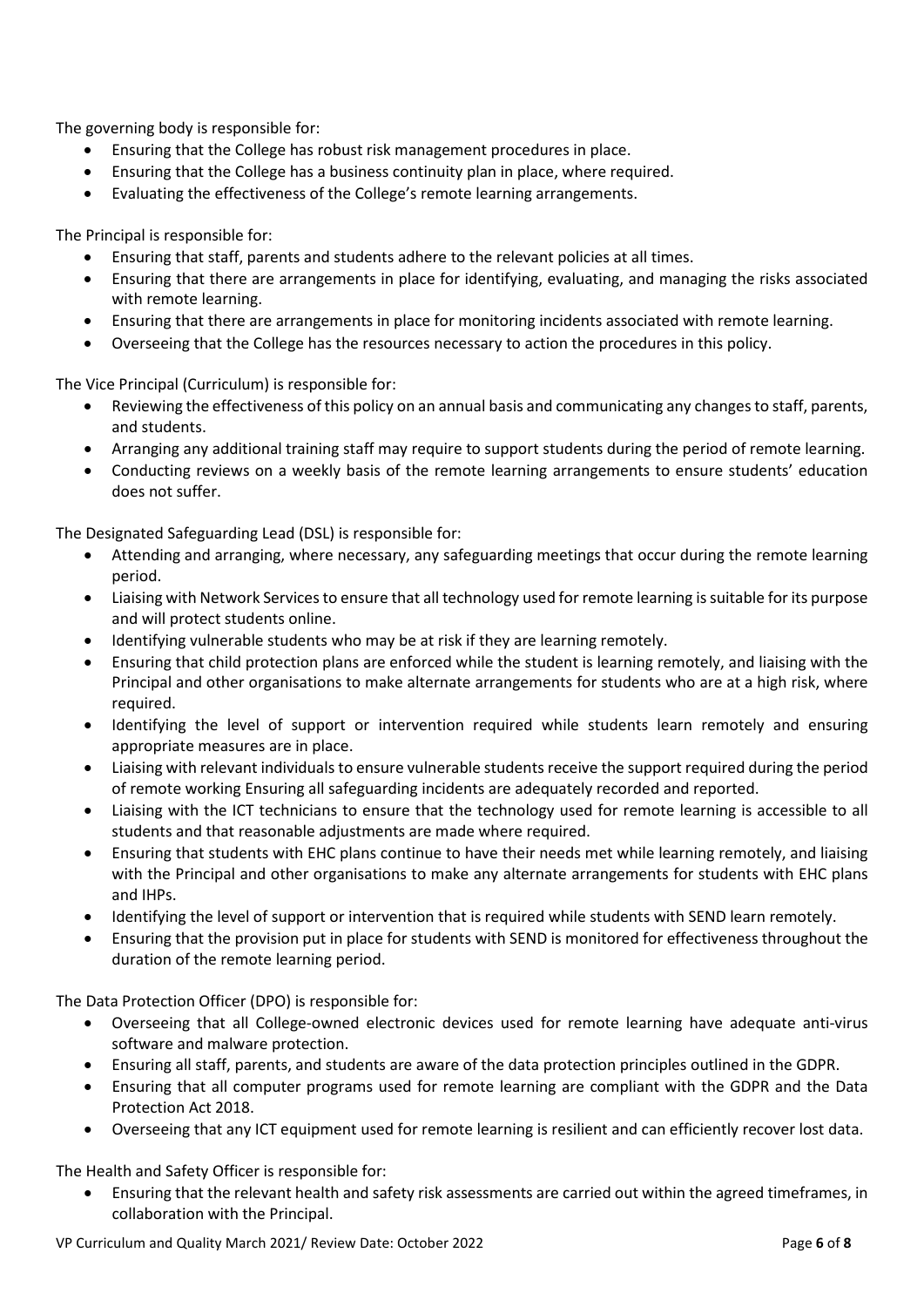The governing body is responsible for:

- Ensuring that the College has robust risk management procedures in place.
- Ensuring that the College has a business continuity plan in place, where required.
- Evaluating the effectiveness of the College's remote learning arrangements.

The Principal is responsible for:

- Ensuring that staff, parents and students adhere to the relevant policies at all times.
- Ensuring that there are arrangements in place for identifying, evaluating, and managing the risks associated with remote learning.
- Ensuring that there are arrangements in place for monitoring incidents associated with remote learning.
- Overseeing that the College has the resources necessary to action the procedures in this policy.

The Vice Principal (Curriculum) is responsible for:

- Reviewing the effectiveness of this policy on an annual basis and communicating any changes to staff, parents, and students.
- Arranging any additional training staff may require to support students during the period of remote learning.
- Conducting reviews on a weekly basis of the remote learning arrangements to ensure students' education does not suffer.

The Designated Safeguarding Lead (DSL) is responsible for:

- Attending and arranging, where necessary, any safeguarding meetings that occur during the remote learning period.
- Liaising with Network Services to ensure that all technology used for remote learning is suitable for its purpose and will protect students online.
- Identifying vulnerable students who may be at risk if they are learning remotely.
- Ensuring that child protection plans are enforced while the student is learning remotely, and liaising with the Principal and other organisations to make alternate arrangements for students who are at a high risk, where required.
- Identifying the level of support or intervention required while students learn remotely and ensuring appropriate measures are in place.
- Liaising with relevant individuals to ensure vulnerable students receive the support required during the period of remote working Ensuring all safeguarding incidents are adequately recorded and reported.
- Liaising with the ICT technicians to ensure that the technology used for remote learning is accessible to all students and that reasonable adjustments are made where required.
- Ensuring that students with EHC plans continue to have their needs met while learning remotely, and liaising with the Principal and other organisations to make any alternate arrangements for students with EHC plans and IHPs.
- Identifying the level of support or intervention that is required while students with SEND learn remotely.
- Ensuring that the provision put in place for students with SEND is monitored for effectiveness throughout the duration of the remote learning period.

The Data Protection Officer (DPO) is responsible for:

- Overseeing that all College-owned electronic devices used for remote learning have adequate anti-virus software and malware protection.
- Ensuring all staff, parents, and students are aware of the data protection principles outlined in the GDPR.
- Ensuring that all computer programs used for remote learning are compliant with the GDPR and the Data Protection Act 2018.
- Overseeing that any ICT equipment used for remote learning is resilient and can efficiently recover lost data.

The Health and Safety Officer is responsible for:

• Ensuring that the relevant health and safety risk assessments are carried out within the agreed timeframes, in collaboration with the Principal.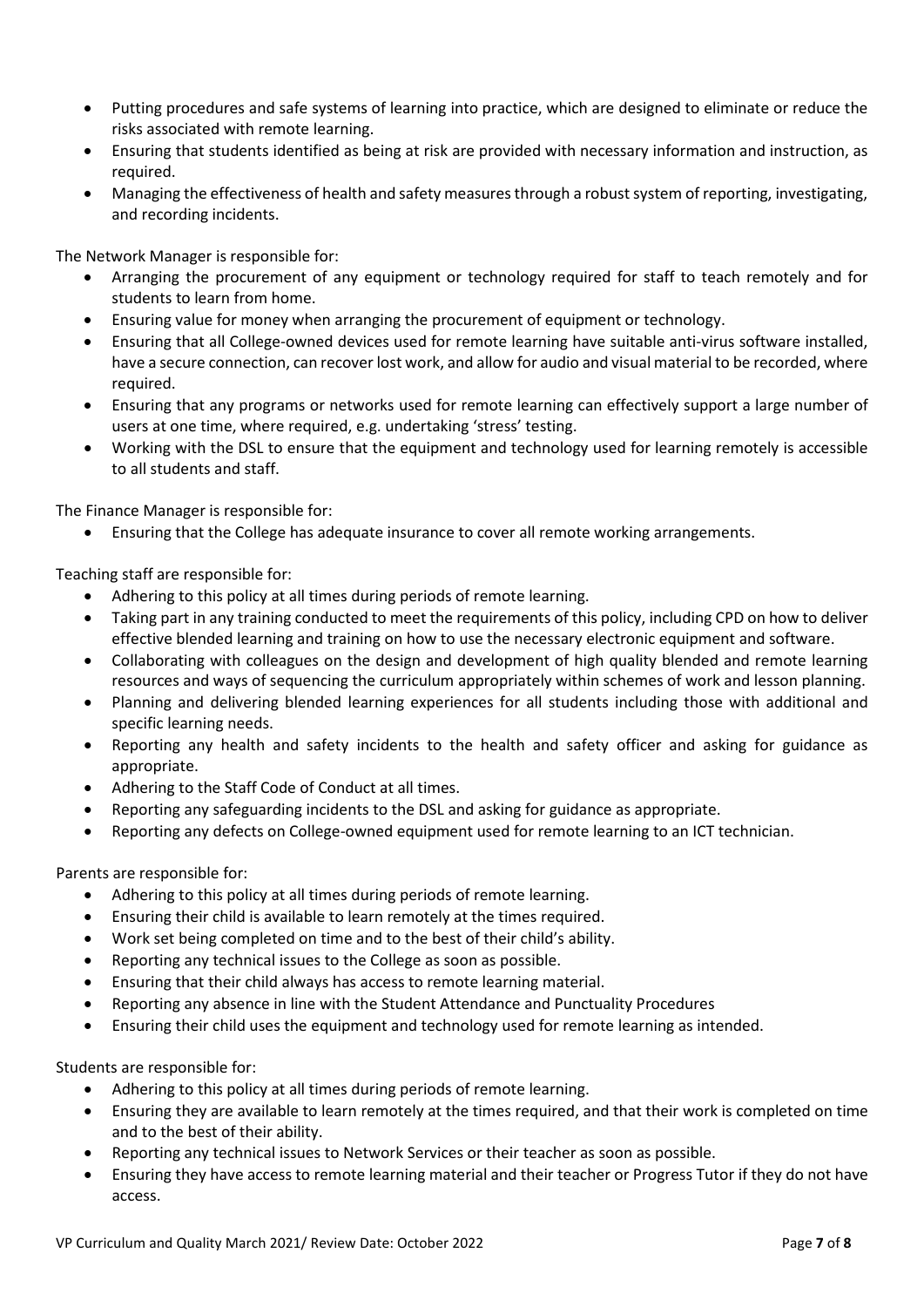- Putting procedures and safe systems of learning into practice, which are designed to eliminate or reduce the risks associated with remote learning.
- Ensuring that students identified as being at risk are provided with necessary information and instruction, as required.
- Managing the effectiveness of health and safety measures through a robust system of reporting, investigating, and recording incidents.

The Network Manager is responsible for:

- Arranging the procurement of any equipment or technology required for staff to teach remotely and for students to learn from home.
- Ensuring value for money when arranging the procurement of equipment or technology.
- Ensuring that all College-owned devices used for remote learning have suitable anti-virus software installed, have a secure connection, can recover lost work, and allow for audio and visual material to be recorded, where required.
- Ensuring that any programs or networks used for remote learning can effectively support a large number of users at one time, where required, e.g. undertaking 'stress' testing.
- Working with the DSL to ensure that the equipment and technology used for learning remotely is accessible to all students and staff.

The Finance Manager is responsible for:

• Ensuring that the College has adequate insurance to cover all remote working arrangements.

Teaching staff are responsible for:

- Adhering to this policy at all times during periods of remote learning.
- Taking part in any training conducted to meet the requirements of this policy, including CPD on how to deliver effective blended learning and training on how to use the necessary electronic equipment and software.
- Collaborating with colleagues on the design and development of high quality blended and remote learning resources and ways of sequencing the curriculum appropriately within schemes of work and lesson planning.
- Planning and delivering blended learning experiences for all students including those with additional and specific learning needs.
- Reporting any health and safety incidents to the health and safety officer and asking for guidance as appropriate.
- Adhering to the Staff Code of Conduct at all times.
- Reporting any safeguarding incidents to the DSL and asking for guidance as appropriate.
- Reporting any defects on College-owned equipment used for remote learning to an ICT technician.

Parents are responsible for:

- Adhering to this policy at all times during periods of remote learning.
- Ensuring their child is available to learn remotely at the times required.
- Work set being completed on time and to the best of their child's ability.
- Reporting any technical issues to the College as soon as possible.
- Ensuring that their child always has access to remote learning material.
- Reporting any absence in line with the Student Attendance and Punctuality Procedures
- Ensuring their child uses the equipment and technology used for remote learning as intended.

Students are responsible for:

- Adhering to this policy at all times during periods of remote learning.
- Ensuring they are available to learn remotely at the times required, and that their work is completed on time and to the best of their ability.
- Reporting any technical issues to Network Services or their teacher as soon as possible.
- Ensuring they have access to remote learning material and their teacher or Progress Tutor if they do not have access.